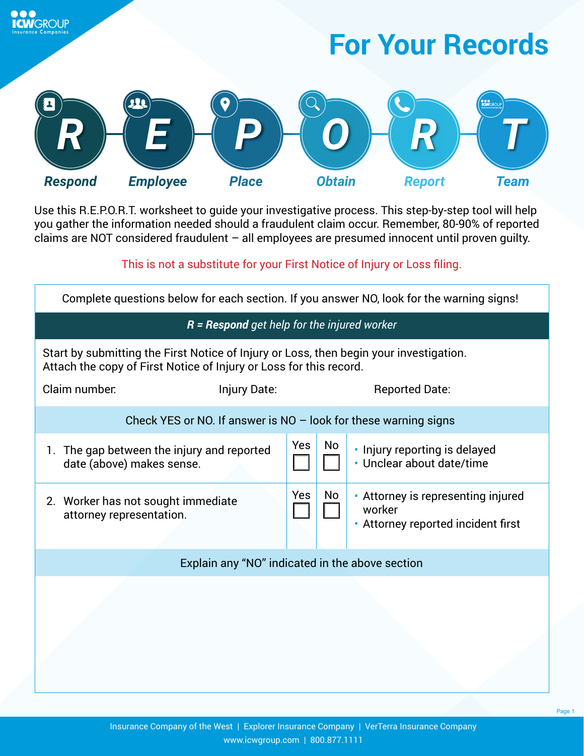



**CWIGROUP** 

Use this R.E.P.O.R.T. worksheet to guide your investigative process. This step-by-step tool will help you gather the information needed should a fraudulent claim occur. Remember, 80-90% of reported claims are NOT considered fraudulent – all employees are presumed innocent until proven guilty.

This is not a substitute for your First Notice of Injury or Loss filing.

| Complete questions below for each section. If you answer NO, look for the warning signs!                                                                     |            |    |                                                                                    |  |
|--------------------------------------------------------------------------------------------------------------------------------------------------------------|------------|----|------------------------------------------------------------------------------------|--|
| $R$ = Respond get help for the injured worker                                                                                                                |            |    |                                                                                    |  |
| Start by submitting the First Notice of Injury or Loss, then begin your investigation.<br>Attach the copy of First Notice of Injury or Loss for this record. |            |    |                                                                                    |  |
| Claim number:<br>Injury Date:                                                                                                                                |            |    | <b>Reported Date:</b>                                                              |  |
| Check YES or NO. If answer is $NO -$ look for these warning signs                                                                                            |            |    |                                                                                    |  |
| 1. The gap between the injury and reported<br>date (above) makes sense.                                                                                      | <b>Yes</b> | No | • Injury reporting is delayed<br>• Unclear about date/time                         |  |
| 2. Worker has not sought immediate<br>attorney representation.                                                                                               | Yes        | No | • Attorney is representing injured<br>worker<br>• Attorney reported incident first |  |
| Explain any "NO" indicated in the above section                                                                                                              |            |    |                                                                                    |  |
|                                                                                                                                                              |            |    |                                                                                    |  |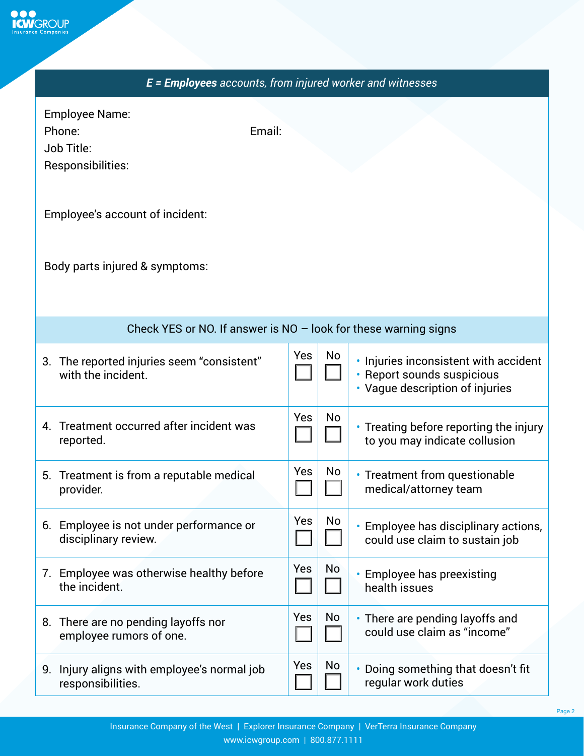

| E = Employees accounts, from injured worker and witnesses                    |     |    |                                                                                                        |
|------------------------------------------------------------------------------|-----|----|--------------------------------------------------------------------------------------------------------|
| <b>Employee Name:</b><br>Email:<br>Phone:<br>Job Title:<br>Responsibilities: |     |    |                                                                                                        |
| Employee's account of incident:                                              |     |    |                                                                                                        |
| Body parts injured & symptoms:                                               |     |    |                                                                                                        |
| Check YES or NO. If answer is $NO -$ look for these warning signs            |     |    |                                                                                                        |
| 3. The reported injuries seem "consistent"<br>with the incident.             | Yes | No | • Injuries inconsistent with accident<br>· Report sounds suspicious<br>• Vague description of injuries |
| 4. Treatment occurred after incident was<br>reported.                        | Yes | No | • Treating before reporting the injury<br>to you may indicate collusion                                |
| Treatment is from a reputable medical<br>5.<br>provider.                     | Yes | No | • Treatment from questionable<br>medical/attorney team                                                 |
| 6. Employee is not under performance or<br>disciplinary review.              | Yes | No | • Employee has disciplinary actions,<br>could use claim to sustain job                                 |
| 7. Employee was otherwise healthy before<br>the incident.                    | Yes | No | • Employee has preexisting<br>health issues                                                            |
| 8. There are no pending layoffs nor<br>employee rumors of one.               | Yes | No | • There are pending layoffs and<br>could use claim as "income"                                         |
| 9. Injury aligns with employee's normal job<br>responsibilities.             | Yes | No | • Doing something that doesn't fit<br>regular work duties                                              |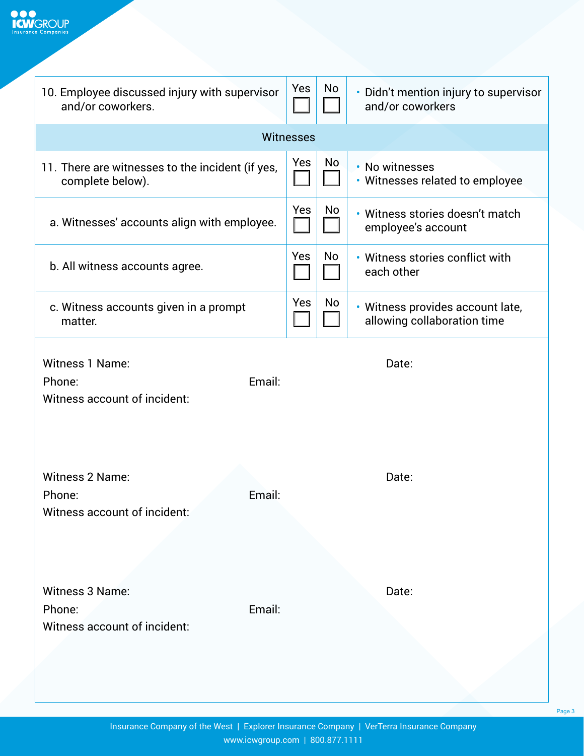

| 10. Employee discussed injury with supervisor<br>and/or coworkers.         | Yes              | No | • Didn't mention injury to supervisor<br>and/or coworkers       |
|----------------------------------------------------------------------------|------------------|----|-----------------------------------------------------------------|
|                                                                            | <b>Witnesses</b> |    |                                                                 |
| 11. There are witnesses to the incident (if yes,<br>complete below).       | Yes              | No | • No witnesses<br>• Witnesses related to employee               |
| a. Witnesses' accounts align with employee.                                | Yes              | No | • Witness stories doesn't match<br>employee's account           |
| b. All witness accounts agree.                                             | Yes              | No | • Witness stories conflict with<br>each other                   |
| c. Witness accounts given in a prompt<br>matter.                           | Yes              | No | · Witness provides account late,<br>allowing collaboration time |
| <b>Witness 1 Name:</b><br>Email:<br>Phone:<br>Witness account of incident: |                  |    | Date:                                                           |
| <b>Witness 2 Name:</b><br>Email:<br>Phone:<br>Witness account of incident: |                  |    | Date:                                                           |
| Witness 3 Name:<br>Phone:<br>Email:<br>Witness account of incident:        |                  |    | Date:                                                           |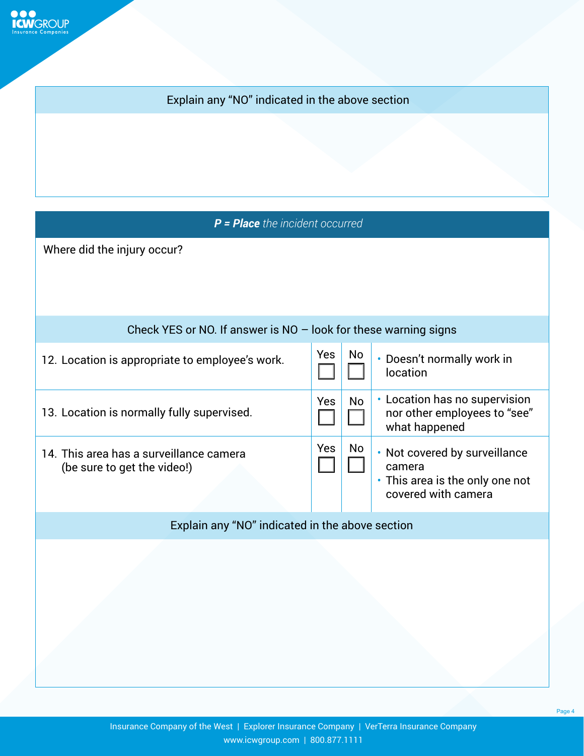**OOO**<br>**ICW**GROUP

## Explain any "NO" indicated in the above section

*P = Place the incident occurred*

Where did the injury occur?

| Check YES or NO. If answer is $NO -$ look for these warning signs      |            |    |                                                                                                   |
|------------------------------------------------------------------------|------------|----|---------------------------------------------------------------------------------------------------|
| 12. Location is appropriate to employee's work.                        | Yes        | No | • Doesn't normally work in<br>location                                                            |
| 13. Location is normally fully supervised.                             | Yes        | No | • Location has no supervision<br>nor other employees to "see"<br>what happened                    |
| 14. This area has a surveillance camera<br>(be sure to get the video!) | <b>Yes</b> | No | • Not covered by surveillance<br>camera<br>• This area is the only one not<br>covered with camera |
| Explain any "NO" indicated in the above section                        |            |    |                                                                                                   |
|                                                                        |            |    |                                                                                                   |

Page 4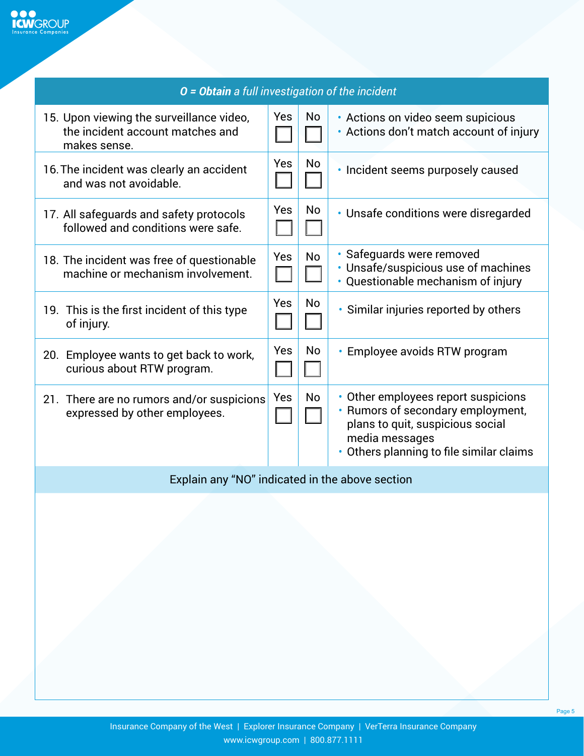| O = Obtain a full investigation of the incident                                              |            |           |                                                                                                                                                                            |
|----------------------------------------------------------------------------------------------|------------|-----------|----------------------------------------------------------------------------------------------------------------------------------------------------------------------------|
| 15. Upon viewing the surveillance video,<br>the incident account matches and<br>makes sense. | Yes        | <b>No</b> | • Actions on video seem supicious<br>• Actions don't match account of injury                                                                                               |
| 16. The incident was clearly an accident<br>and was not avoidable.                           | Yes        | <b>No</b> | · Incident seems purposely caused                                                                                                                                          |
| 17. All safeguards and safety protocols<br>followed and conditions were safe.                | Yes        | No        | • Unsafe conditions were disregarded                                                                                                                                       |
| 18. The incident was free of questionable<br>machine or mechanism involvement.               | Yes        | <b>No</b> | • Safeguards were removed<br>· Unsafe/suspicious use of machines<br>· Questionable mechanism of injury                                                                     |
| 19. This is the first incident of this type<br>of injury.                                    | <b>Yes</b> | <b>No</b> | • Similar injuries reported by others                                                                                                                                      |
| 20. Employee wants to get back to work,<br>curious about RTW program.                        | Yes        | <b>No</b> | • Employee avoids RTW program                                                                                                                                              |
| 21. There are no rumors and/or suspicions<br>expressed by other employees.                   | Yes        | <b>No</b> | • Other employees report suspicions<br>• Rumors of secondary employment,<br>plans to quit, suspicious social<br>media messages<br>• Others planning to file similar claims |
| Explain any "NO" indicated in the above section                                              |            |           |                                                                                                                                                                            |

Page 5